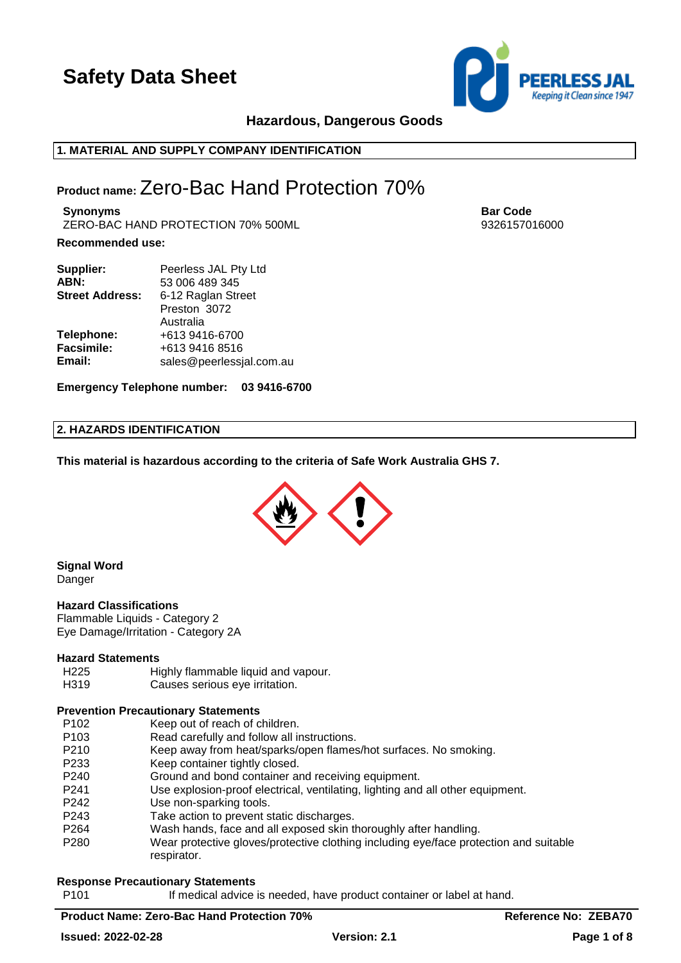

# **Hazardous, Dangerous Goods**

### **1. MATERIAL AND SUPPLY COMPANY IDENTIFICATION**

# **Product name:** Zero-Bac Hand Protection 70%

**Synonyms Bar Code** ZERO-BAC HAND PROTECTION 70% 500ML 9326157016000

### **Recommended use:**

| Supplier:              | Peerless JAL Pty Ltd     |
|------------------------|--------------------------|
| ABN:                   | 53 006 489 345           |
| <b>Street Address:</b> | 6-12 Raglan Street       |
|                        | Preston 3072             |
|                        | Australia                |
| Telephone:             | +613 9416-6700           |
| Facsimile:             | +613 9416 8516           |
| Email:                 | sales@peerlessjal.com.au |

**Emergency Telephone number: 03 9416-6700**

### **2. HAZARDS IDENTIFICATION**

**This material is hazardous according to the criteria of Safe Work Australia GHS 7.**



**Signal Word** Danger

### **Hazard Classifications**

Flammable Liquids - Category 2 Eye Damage/Irritation - Category 2A

### **Hazard Statements**

- H225 Highly flammable liquid and vapour.
- H319 Causes serious eye irritation.

### **Prevention Precautionary Statements**

- P102 Keep out of reach of children.
- P103 Read carefully and follow all instructions.
- P210 Keep away from heat/sparks/open flames/hot surfaces. No smoking.
- P233 Keep container tightly closed.
- P240 Ground and bond container and receiving equipment.
- P241 Use explosion-proof electrical, ventilating, lighting and all other equipment.
- P242 Use non-sparking tools.
- P243 Take action to prevent static discharges.
- P264 Wash hands, face and all exposed skin thoroughly after handling.
- P280 Wear protective gloves/protective clothing including eye/face protection and suitable respirator.

# **Response Precautionary Statements**

P101 **If medical advice is needed, have product container or label at hand.** 

# **Product Name: Zero-Bac Hand Protection 70% Reference No: ZEBA70**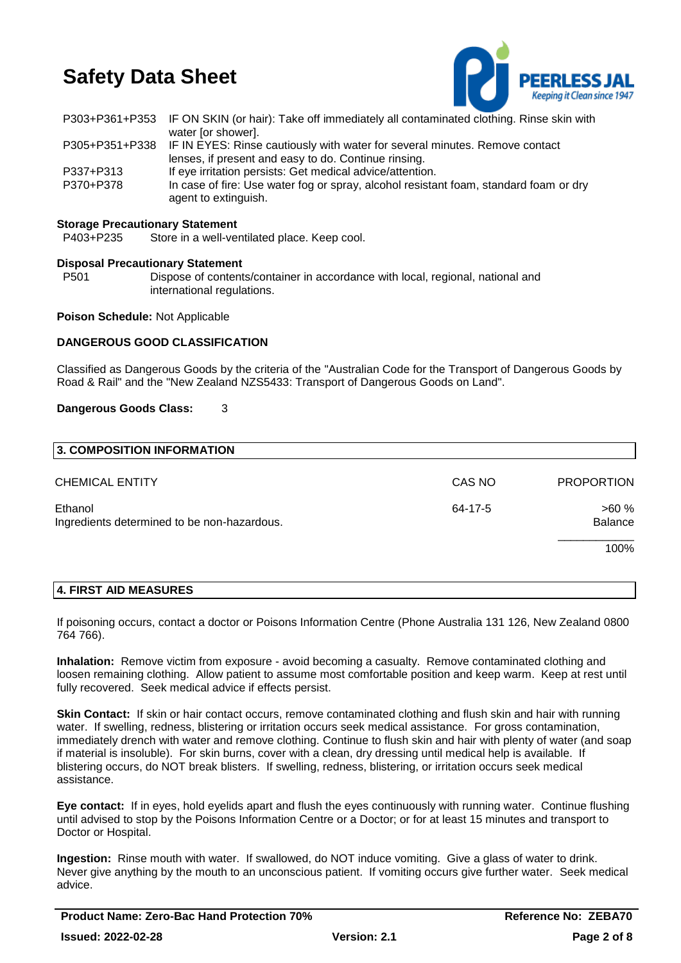

|           | P303+P361+P353 IF ON SKIN (or hair): Take off immediately all contaminated clothing. Rinse skin with          |
|-----------|---------------------------------------------------------------------------------------------------------------|
|           | water [or shower].                                                                                            |
|           | P305+P351+P338 IF IN EYES: Rinse cautiously with water for several minutes. Remove contact                    |
|           | lenses, if present and easy to do. Continue rinsing.                                                          |
| P337+P313 | If eye irritation persists: Get medical advice/attention.                                                     |
| P370+P378 | In case of fire: Use water fog or spray, alcohol resistant foam, standard foam or dry<br>agent to extinguish. |
|           |                                                                                                               |

### **Storage Precautionary Statement**

P403+P235 Store in a well-ventilated place. Keep cool.

### **Disposal Precautionary Statement**

P501 Dispose of contents/container in accordance with local, regional, national and international regulations.

### **Poison Schedule:** Not Applicable

### **DANGEROUS GOOD CLASSIFICATION**

Classified as Dangerous Goods by the criteria of the "Australian Code for the Transport of Dangerous Goods by Road & Rail" and the "New Zealand NZS5433: Transport of Dangerous Goods on Land".

### **Dangerous Goods Class:** 3

| 3. COMPOSITION INFORMATION                             |         |                        |
|--------------------------------------------------------|---------|------------------------|
| <b>CHEMICAL ENTITY</b>                                 | CAS NO  | <b>PROPORTION</b>      |
| Ethanol<br>Ingredients determined to be non-hazardous. | 64-17-5 | >60%<br><b>Balance</b> |
|                                                        |         | 100%                   |

### **4. FIRST AID MEASURES**

If poisoning occurs, contact a doctor or Poisons Information Centre (Phone Australia 131 126, New Zealand 0800 764 766).

**Inhalation:** Remove victim from exposure - avoid becoming a casualty. Remove contaminated clothing and loosen remaining clothing. Allow patient to assume most comfortable position and keep warm. Keep at rest until fully recovered. Seek medical advice if effects persist.

**Skin Contact:** If skin or hair contact occurs, remove contaminated clothing and flush skin and hair with running water. If swelling, redness, blistering or irritation occurs seek medical assistance. For gross contamination, immediately drench with water and remove clothing. Continue to flush skin and hair with plenty of water (and soap if material is insoluble). For skin burns, cover with a clean, dry dressing until medical help is available. If blistering occurs, do NOT break blisters. If swelling, redness, blistering, or irritation occurs seek medical assistance.

**Eye contact:** If in eyes, hold eyelids apart and flush the eyes continuously with running water. Continue flushing until advised to stop by the Poisons Information Centre or a Doctor; or for at least 15 minutes and transport to Doctor or Hospital.

**Ingestion:** Rinse mouth with water. If swallowed, do NOT induce vomiting. Give a glass of water to drink. Never give anything by the mouth to an unconscious patient. If vomiting occurs give further water. Seek medical advice.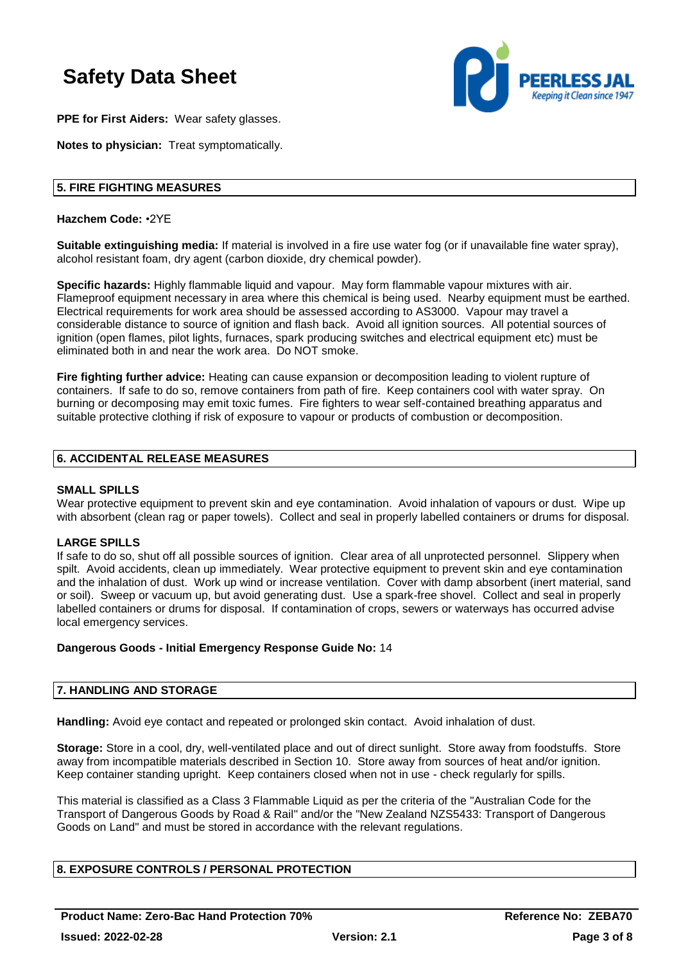

**PPE for First Aiders:** Wear safety glasses.

**Notes to physician:** Treat symptomatically.

### **5. FIRE FIGHTING MEASURES**

**Hazchem Code:** •2YE

**Suitable extinguishing media:** If material is involved in a fire use water fog (or if unavailable fine water spray), alcohol resistant foam, dry agent (carbon dioxide, dry chemical powder).

**Specific hazards:** Highly flammable liquid and vapour. May form flammable vapour mixtures with air. Flameproof equipment necessary in area where this chemical is being used. Nearby equipment must be earthed. Electrical requirements for work area should be assessed according to AS3000. Vapour may travel a considerable distance to source of ignition and flash back. Avoid all ignition sources. All potential sources of ignition (open flames, pilot lights, furnaces, spark producing switches and electrical equipment etc) must be eliminated both in and near the work area. Do NOT smoke.

**Fire fighting further advice:** Heating can cause expansion or decomposition leading to violent rupture of containers. If safe to do so, remove containers from path of fire. Keep containers cool with water spray. On burning or decomposing may emit toxic fumes. Fire fighters to wear self-contained breathing apparatus and suitable protective clothing if risk of exposure to vapour or products of combustion or decomposition.

### **6. ACCIDENTAL RELEASE MEASURES**

### **SMALL SPILLS**

Wear protective equipment to prevent skin and eye contamination. Avoid inhalation of vapours or dust. Wipe up with absorbent (clean rag or paper towels). Collect and seal in properly labelled containers or drums for disposal.

### **LARGE SPILLS**

If safe to do so, shut off all possible sources of ignition. Clear area of all unprotected personnel. Slippery when spilt. Avoid accidents, clean up immediately. Wear protective equipment to prevent skin and eye contamination and the inhalation of dust. Work up wind or increase ventilation. Cover with damp absorbent (inert material, sand or soil). Sweep or vacuum up, but avoid generating dust. Use a spark-free shovel. Collect and seal in properly labelled containers or drums for disposal. If contamination of crops, sewers or waterways has occurred advise local emergency services.

### **Dangerous Goods - Initial Emergency Response Guide No:** 14

### **7. HANDLING AND STORAGE**

**Handling:** Avoid eye contact and repeated or prolonged skin contact. Avoid inhalation of dust.

**Storage:** Store in a cool, dry, well-ventilated place and out of direct sunlight. Store away from foodstuffs. Store away from incompatible materials described in Section 10. Store away from sources of heat and/or ignition. Keep container standing upright. Keep containers closed when not in use - check regularly for spills.

This material is classified as a Class 3 Flammable Liquid as per the criteria of the "Australian Code for the Transport of Dangerous Goods by Road & Rail" and/or the "New Zealand NZS5433: Transport of Dangerous Goods on Land" and must be stored in accordance with the relevant regulations.

### **8. EXPOSURE CONTROLS / PERSONAL PROTECTION**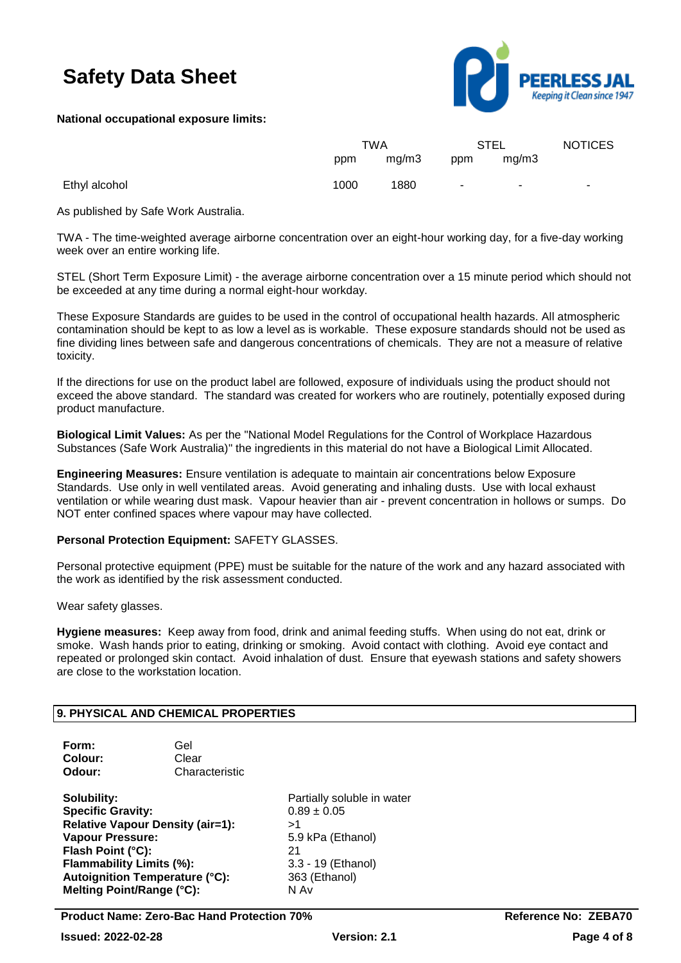

### **National occupational exposure limits:**

|               | TWA  |       | <b>STEL</b> |        | <b>NOTICES</b> |
|---------------|------|-------|-------------|--------|----------------|
|               | ppm  | mq/m3 | ppm         | mg/m3  |                |
| Ethyl alcohol | 1000 | 1880  | $\sim$      | $\sim$ | $\sim$         |

As published by Safe Work Australia.

TWA - The time-weighted average airborne concentration over an eight-hour working day, for a five-day working week over an entire working life.

STEL (Short Term Exposure Limit) - the average airborne concentration over a 15 minute period which should not be exceeded at any time during a normal eight-hour workday.

These Exposure Standards are guides to be used in the control of occupational health hazards. All atmospheric contamination should be kept to as low a level as is workable. These exposure standards should not be used as fine dividing lines between safe and dangerous concentrations of chemicals. They are not a measure of relative toxicity.

If the directions for use on the product label are followed, exposure of individuals using the product should not exceed the above standard. The standard was created for workers who are routinely, potentially exposed during product manufacture.

**Biological Limit Values:** As per the "National Model Regulations for the Control of Workplace Hazardous Substances (Safe Work Australia)" the ingredients in this material do not have a Biological Limit Allocated.

**Engineering Measures:** Ensure ventilation is adequate to maintain air concentrations below Exposure Standards. Use only in well ventilated areas. Avoid generating and inhaling dusts. Use with local exhaust ventilation or while wearing dust mask. Vapour heavier than air - prevent concentration in hollows or sumps. Do NOT enter confined spaces where vapour may have collected.

### **Personal Protection Equipment:** SAFETY GLASSES.

Personal protective equipment (PPE) must be suitable for the nature of the work and any hazard associated with the work as identified by the risk assessment conducted.

Wear safety glasses.

**Hygiene measures:** Keep away from food, drink and animal feeding stuffs. When using do not eat, drink or smoke. Wash hands prior to eating, drinking or smoking. Avoid contact with clothing. Avoid eye contact and repeated or prolonged skin contact. Avoid inhalation of dust. Ensure that eyewash stations and safety showers are close to the workstation location.

### **9. PHYSICAL AND CHEMICAL PROPERTIES**

| Form:   | Gel            |
|---------|----------------|
| Colour: | Clear          |
| Odour:  | Characteristic |

**Specific Gravity:** 0.89 ± 0.05 **Relative Vapour Density (air=1):** >1 **Vapour Pressure:** 5.9 kPa (Ethanol) **Flash Point (°C):** 21 **Flammability Limits (%):** 3.3 - 19 (Ethanol) **Autoignition Temperature (°C):** 363 (Ethanol) **Melting Point/Range (°C):** N Av

**Solubility:** Partially soluble in water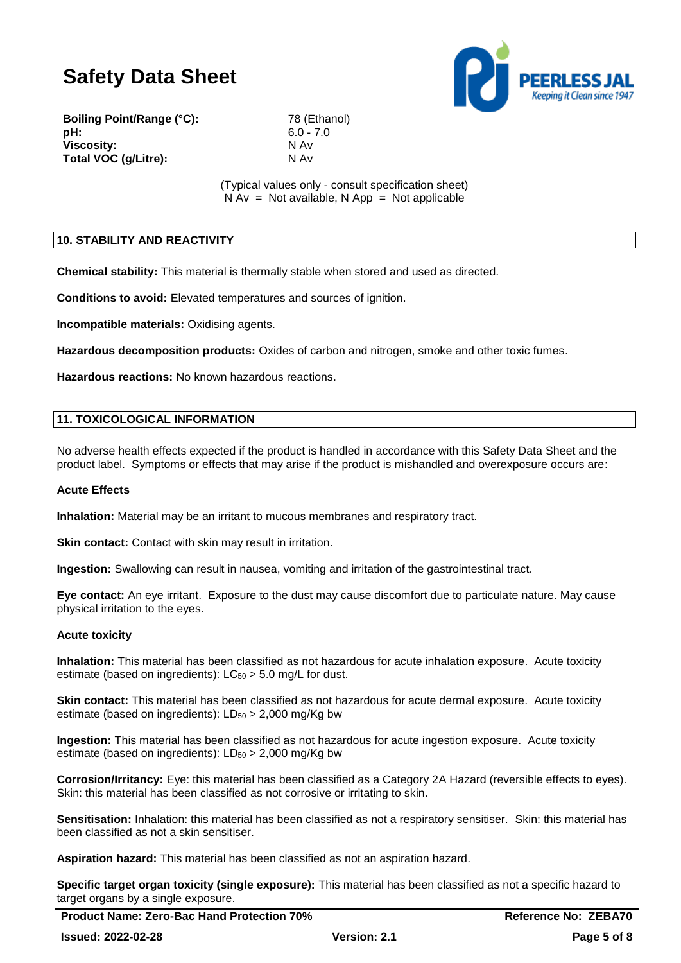

**Boiling Point/Range (°C):** 78 (Ethanol) **pH:** 6.0 - 7.0 **Viscosity:** N Av **Total VOC (g/Litre):** N Av

(Typical values only - consult specification sheet)  $N Av = Not available, N App = Not applicable$ 

### **10. STABILITY AND REACTIVITY**

**Chemical stability:** This material is thermally stable when stored and used as directed.

**Conditions to avoid:** Elevated temperatures and sources of ignition.

**Incompatible materials:** Oxidising agents.

**Hazardous decomposition products:** Oxides of carbon and nitrogen, smoke and other toxic fumes.

**Hazardous reactions:** No known hazardous reactions.

### **11. TOXICOLOGICAL INFORMATION**

No adverse health effects expected if the product is handled in accordance with this Safety Data Sheet and the product label. Symptoms or effects that may arise if the product is mishandled and overexposure occurs are:

### **Acute Effects**

**Inhalation:** Material may be an irritant to mucous membranes and respiratory tract.

**Skin contact:** Contact with skin may result in irritation.

**Ingestion:** Swallowing can result in nausea, vomiting and irritation of the gastrointestinal tract.

**Eye contact:** An eye irritant. Exposure to the dust may cause discomfort due to particulate nature. May cause physical irritation to the eyes.

### **Acute toxicity**

**Inhalation:** This material has been classified as not hazardous for acute inhalation exposure. Acute toxicity estimate (based on ingredients):  $LC_{50} > 5.0$  mg/L for dust.

**Skin contact:** This material has been classified as not hazardous for acute dermal exposure. Acute toxicity estimate (based on ingredients):  $LD_{50} > 2,000$  mg/Kg bw

**Ingestion:** This material has been classified as not hazardous for acute ingestion exposure. Acute toxicity estimate (based on ingredients):  $LD_{50} > 2,000$  mg/Kg bw

**Corrosion/Irritancy:** Eye: this material has been classified as a Category 2A Hazard (reversible effects to eyes). Skin: this material has been classified as not corrosive or irritating to skin.

**Sensitisation:** Inhalation: this material has been classified as not a respiratory sensitiser. Skin: this material has been classified as not a skin sensitiser.

**Aspiration hazard:** This material has been classified as not an aspiration hazard.

**Specific target organ toxicity (single exposure):** This material has been classified as not a specific hazard to target organs by a single exposure.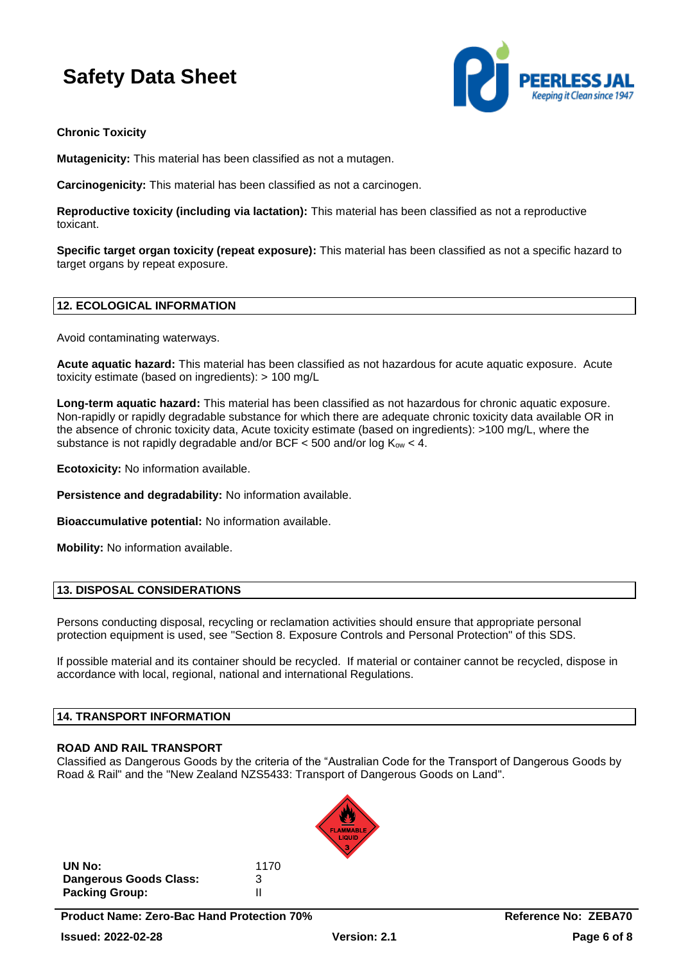

### **Chronic Toxicity**

**Mutagenicity:** This material has been classified as not a mutagen.

**Carcinogenicity:** This material has been classified as not a carcinogen.

**Reproductive toxicity (including via lactation):** This material has been classified as not a reproductive toxicant.

**Specific target organ toxicity (repeat exposure):** This material has been classified as not a specific hazard to target organs by repeat exposure.

### **12. ECOLOGICAL INFORMATION**

Avoid contaminating waterways.

**Acute aquatic hazard:** This material has been classified as not hazardous for acute aquatic exposure. Acute toxicity estimate (based on ingredients): > 100 mg/L

**Long-term aquatic hazard:** This material has been classified as not hazardous for chronic aquatic exposure. Non-rapidly or rapidly degradable substance for which there are adequate chronic toxicity data available OR in the absence of chronic toxicity data, Acute toxicity estimate (based on ingredients): >100 mg/L, where the substance is not rapidly degradable and/or BCF  $\lt$  500 and/or log  $K_{ow} \lt$  4.

**Ecotoxicity:** No information available.

**Persistence and degradability:** No information available.

**Bioaccumulative potential:** No information available.

**Mobility:** No information available.

### **13. DISPOSAL CONSIDERATIONS**

Persons conducting disposal, recycling or reclamation activities should ensure that appropriate personal protection equipment is used, see "Section 8. Exposure Controls and Personal Protection" of this SDS.

If possible material and its container should be recycled. If material or container cannot be recycled, dispose in accordance with local, regional, national and international Regulations.

### **14. TRANSPORT INFORMATION**

### **ROAD AND RAIL TRANSPORT**

Classified as Dangerous Goods by the criteria of the "Australian Code for the Transport of Dangerous Goods by Road & Rail" and the "New Zealand NZS5433: Transport of Dangerous Goods on Land".



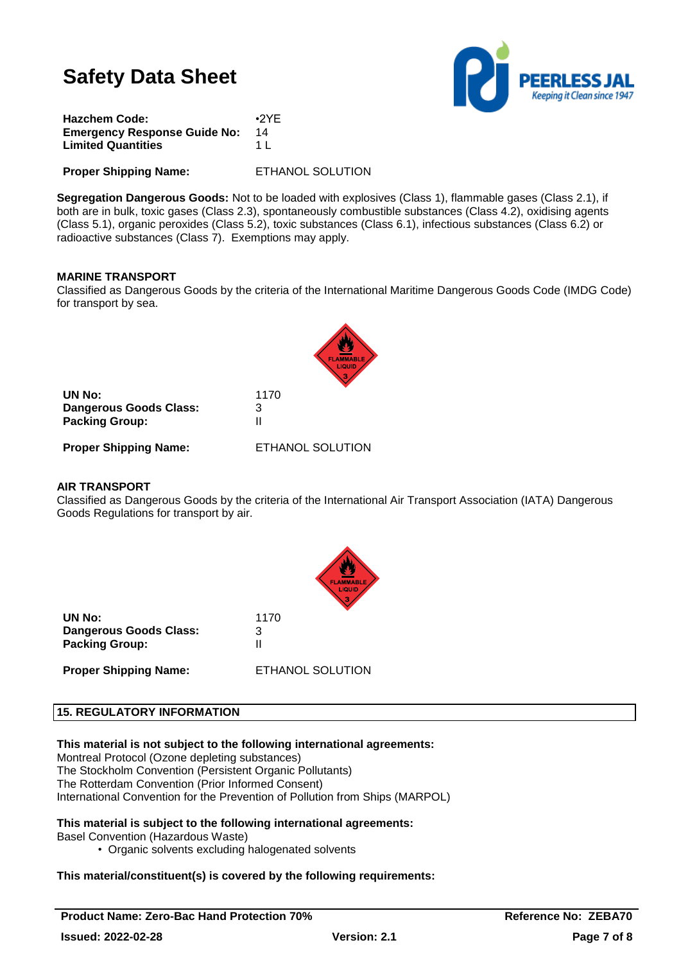

| <b>Hazchem Code:</b>                | $\cdot$ <sub>2</sub> YE |
|-------------------------------------|-------------------------|
| <b>Emergency Response Guide No:</b> | 14                      |
| <b>Limited Quantities</b>           | 1 I                     |
|                                     |                         |

**Proper Shipping Name:** ETHANOL SOLUTION

**Segregation Dangerous Goods:** Not to be loaded with explosives (Class 1), flammable gases (Class 2.1), if both are in bulk, toxic gases (Class 2.3), spontaneously combustible substances (Class 4.2), oxidising agents (Class 5.1), organic peroxides (Class 5.2), toxic substances (Class 6.1), infectious substances (Class 6.2) or radioactive substances (Class 7). Exemptions may apply.

### **MARINE TRANSPORT**

Classified as Dangerous Goods by the criteria of the International Maritime Dangerous Goods Code (IMDG Code) for transport by sea.

| UN No:                 | 1170 |
|------------------------|------|
| Dangerous Goods Class: | З    |
| <b>Packing Group:</b>  | Ш    |
|                        |      |

**Proper Shipping Name:** ETHANOL SOLUTION

### **AIR TRANSPORT**

Classified as Dangerous Goods by the criteria of the International Air Transport Association (IATA) Dangerous Goods Regulations for transport by air.



| UN No:                 | 1170 |  |
|------------------------|------|--|
| Dangerous Goods Class: | 3    |  |
| <b>Packing Group:</b>  |      |  |
|                        |      |  |

**Proper Shipping Name:** ETHANOL SOLUTION

### **15. REGULATORY INFORMATION**

### **This material is not subject to the following international agreements:**

Montreal Protocol (Ozone depleting substances) The Stockholm Convention (Persistent Organic Pollutants) The Rotterdam Convention (Prior Informed Consent) International Convention for the Prevention of Pollution from Ships (MARPOL)

# **This material is subject to the following international agreements:**

Basel Convention (Hazardous Waste)

• Organic solvents excluding halogenated solvents

# **This material/constituent(s) is covered by the following requirements:**